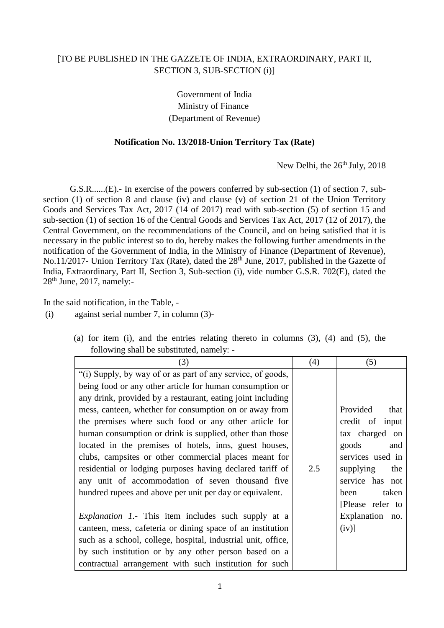## [TO BE PUBLISHED IN THE GAZZETE OF INDIA, EXTRAORDINARY, PART II, SECTION 3, SUB-SECTION (i)]

Government of India Ministry of Finance (Department of Revenue)

## **Notification No. 13/2018-Union Territory Tax (Rate)**

New Delhi, the 26<sup>th</sup> July, 2018

G.S.R......(E).- In exercise of the powers conferred by sub-section (1) of section 7, subsection (1) of section 8 and clause (iv) and clause (v) of section 21 of the Union Territory Goods and Services Tax Act, 2017 (14 of 2017) read with sub-section (5) of section 15 and sub-section (1) of section 16 of the Central Goods and Services Tax Act, 2017 (12 of 2017), the Central Government, on the recommendations of the Council, and on being satisfied that it is necessary in the public interest so to do, hereby makes the following further amendments in the notification of the Government of India, in the Ministry of Finance (Department of Revenue), No.11/2017- Union Territory Tax (Rate), dated the  $28<sup>th</sup>$  June, 2017, published in the Gazette of India, Extraordinary, Part II, Section 3, Sub-section (i), vide number G.S.R. 702(E), dated the 28th June, 2017, namely:-

In the said notification, in the Table, -

(i) against serial number 7, in column (3)-

| (3)                                                           | (4) | (5)              |
|---------------------------------------------------------------|-----|------------------|
|                                                               |     |                  |
| "(i) Supply, by way of or as part of any service, of goods,   |     |                  |
| being food or any other article for human consumption or      |     |                  |
| any drink, provided by a restaurant, eating joint including   |     |                  |
| mess, canteen, whether for consumption on or away from        |     | Provided<br>that |
| the premises where such food or any other article for         |     | credit of input  |
| human consumption or drink is supplied, other than those      |     | tax charged on   |
| located in the premises of hotels, inns, guest houses,        |     | goods<br>and     |
| clubs, campsites or other commercial places meant for         |     | services used in |
| residential or lodging purposes having declared tariff of     | 2.5 | supplying<br>the |
| any unit of accommodation of seven thousand five              |     | service has not  |
| hundred rupees and above per unit per day or equivalent.      |     | taken<br>been    |
|                                                               |     | [Please refer to |
| <i>Explanation 1.</i> This item includes such supply at a     |     | Explanation no.  |
| canteen, mess, cafeteria or dining space of an institution    |     | $(iv)$ ]         |
| such as a school, college, hospital, industrial unit, office, |     |                  |
| by such institution or by any other person based on a         |     |                  |
| contractual arrangement with such institution for such        |     |                  |

(a) for item (i), and the entries relating thereto in columns (3), (4) and (5), the following shall be substituted, namely: -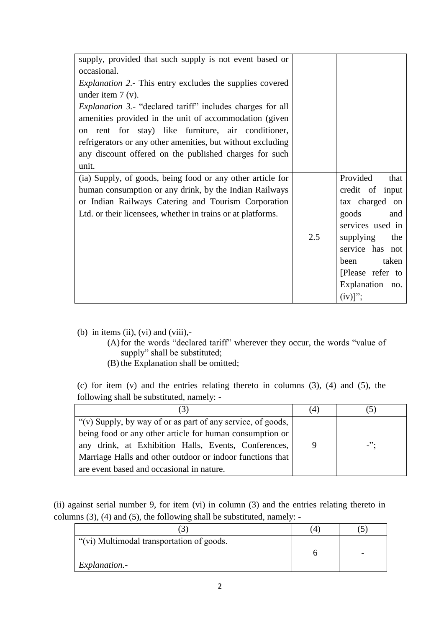| supply, provided that such supply is not event based or<br>occasional.<br><i>Explanation 2.</i> - This entry excludes the supplies covered<br>under item $7(y)$ .<br><i>Explanation 3.</i> - "declared tariff" includes charges for all<br>amenities provided in the unit of accommodation (given<br>on rent for stay) like furniture, air conditioner,<br>refrigerators or any other amenities, but without excluding<br>any discount offered on the published charges for such<br>unit. |     |                                                                                                                                                                                                        |
|-------------------------------------------------------------------------------------------------------------------------------------------------------------------------------------------------------------------------------------------------------------------------------------------------------------------------------------------------------------------------------------------------------------------------------------------------------------------------------------------|-----|--------------------------------------------------------------------------------------------------------------------------------------------------------------------------------------------------------|
| (ia) Supply, of goods, being food or any other article for<br>human consumption or any drink, by the Indian Railways<br>or Indian Railways Catering and Tourism Corporation<br>Ltd. or their licensees, whether in trains or at platforms.                                                                                                                                                                                                                                                | 2.5 | Provided<br>that<br>credit of input<br>tax charged on<br>goods<br>and<br>services used in<br>supplying<br>the<br>service has not<br>taken<br>been<br>[Please refer to<br>Explanation no.<br>$(iv)]$ "; |

(b) in items (ii), (vi) and (viii),-

- (A)for the words "declared tariff" wherever they occur, the words "value of supply" shall be substituted;
- (B) the Explanation shall be omitted;

(c) for item (v) and the entries relating thereto in columns (3), (4) and (5), the following shall be substituted, namely: -

| (3)                                                         | (4) |        |
|-------------------------------------------------------------|-----|--------|
| "(v) Supply, by way of or as part of any service, of goods, |     |        |
| being food or any other article for human consumption or    |     |        |
| any drink, at Exhibition Halls, Events, Conferences,        | 9   | $-$ ": |
| Marriage Halls and other outdoor or indoor functions that   |     |        |
| are event based and occasional in nature.                   |     |        |

(ii) against serial number 9, for item (vi) in column (3) and the entries relating thereto in columns (3), (4) and (5), the following shall be substituted, namely: -

|                                           | 4 |  |
|-------------------------------------------|---|--|
| "(vi) Multimodal transportation of goods. |   |  |
| Explanation.-                             |   |  |